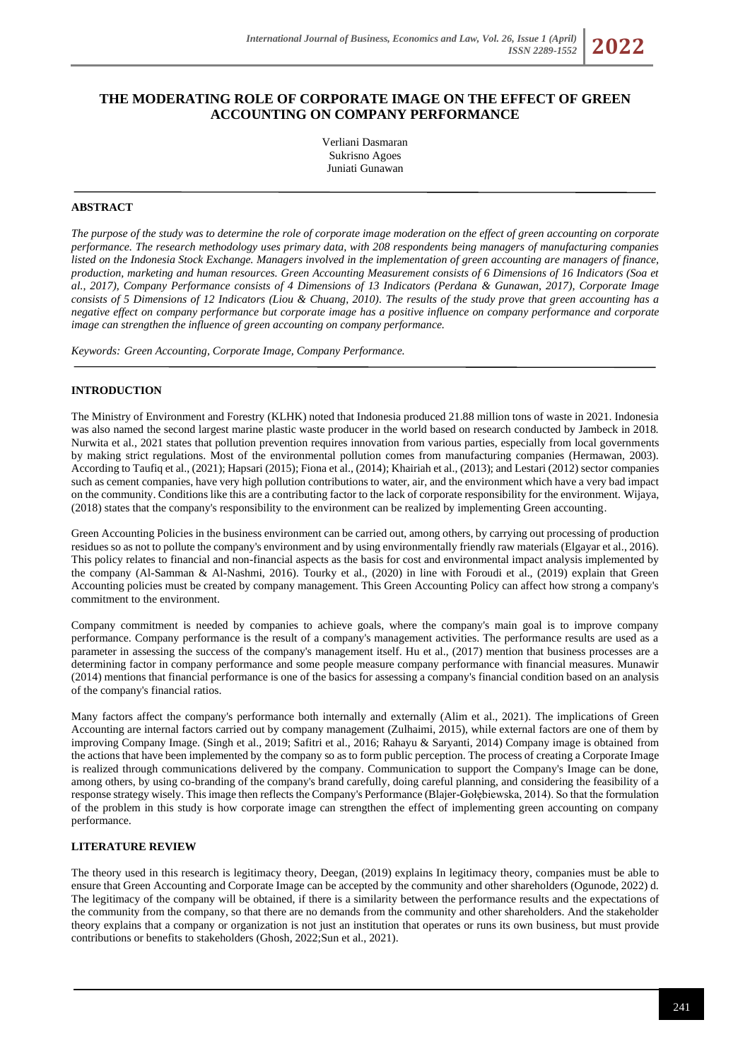*ISSN 2289-1552* **2022**

# **THE MODERATING ROLE OF CORPORATE IMAGE ON THE EFFECT OF GREEN ACCOUNTING ON COMPANY PERFORMANCE**

Verliani Dasmaran Sukrisno Agoes Juniati Gunawan

### **ABSTRACT**

*The purpose of the study was to determine the role of corporate image moderation on the effect of green accounting on corporate performance. The research methodology uses primary data, with 208 respondents being managers of manufacturing companies listed on the Indonesia Stock Exchange. Managers involved in the implementation of green accounting are managers of finance, production, marketing and human resources. Green Accounting Measurement consists of 6 Dimensions of 16 Indicators (Soa et al., 2017), Company Performance consists of 4 Dimensions of 13 Indicators (Perdana & Gunawan, 2017), Corporate Image consists of 5 Dimensions of 12 Indicators (Liou & Chuang, 2010). The results of the study prove that green accounting has a negative effect on company performance but corporate image has a positive influence on company performance and corporate image can strengthen the influence of green accounting on company performance.*

*Keywords: Green Accounting, Corporate Image, Company Performance.*

#### **INTRODUCTION**

The Ministry of Environment and Forestry (KLHK) noted that Indonesia produced 21.88 million tons of waste in 2021. Indonesia was also named the second largest marine plastic waste producer in the world based on research conducted by Jambeck in 2018. Nurwita et al., 2021 states that pollution prevention requires innovation from various parties, especially from local governments by making strict regulations. Most of the environmental pollution comes from manufacturing companies (Hermawan, 2003). According to Taufiq et al., (2021); Hapsari (2015); Fiona et al., (2014); Khairiah et al., (2013); and Lestari (2012) sector companies such as cement companies, have very high pollution contributions to water, air, and the environment which have a very bad impact on the community. Conditions like this are a contributing factor to the lack of corporate responsibility for the environment. Wijaya, (2018) states that the company's responsibility to the environment can be realized by implementing Green accounting.

Green Accounting Policies in the business environment can be carried out, among others, by carrying out processing of production residues so as not to pollute the company's environment and by using environmentally friendly raw materials (Elgayar et al., 2016). This policy relates to financial and non-financial aspects as the basis for cost and environmental impact analysis implemented by the company (Al-Samman & Al-Nashmi, 2016). Tourky et al., (2020) in line with Foroudi et al., (2019) explain that Green Accounting policies must be created by company management. This Green Accounting Policy can affect how strong a company's commitment to the environment.

Company commitment is needed by companies to achieve goals, where the company's main goal is to improve company performance. Company performance is the result of a company's management activities. The performance results are used as a parameter in assessing the success of the company's management itself. Hu et al., (2017) mention that business processes are a determining factor in company performance and some people measure company performance with financial measures. Munawir (2014) mentions that financial performance is one of the basics for assessing a company's financial condition based on an analysis of the company's financial ratios.

Many factors affect the company's performance both internally and externally (Alim et al., 2021). The implications of Green Accounting are internal factors carried out by company management (Zulhaimi, 2015), while external factors are one of them by improving Company Image. (Singh et al., 2019; Safitri et al., 2016; Rahayu & Saryanti, 2014) Company image is obtained from the actions that have been implemented by the company so as to form public perception. The process of creating a Corporate Image is realized through communications delivered by the company. Communication to support the Company's Image can be done, among others, by using co-branding of the company's brand carefully, doing careful planning, and considering the feasibility of a response strategy wisely. This image then reflects the Company's Performance (Blajer-Gołębiewska, 2014). So that the formulation of the problem in this study is how corporate image can strengthen the effect of implementing green accounting on company performance.

# **LITERATURE REVIEW**

The theory used in this research is legitimacy theory, Deegan, (2019) explains In legitimacy theory, companies must be able to ensure that Green Accounting and Corporate Image can be accepted by the community and other shareholders (Ogunode, 2022) d. The legitimacy of the company will be obtained, if there is a similarity between the performance results and the expectations of the community from the company, so that there are no demands from the community and other shareholders. And the stakeholder theory explains that a company or organization is not just an institution that operates or runs its own business, but must provide contributions or benefits to stakeholders (Ghosh, 2022;Sun et al., 2021).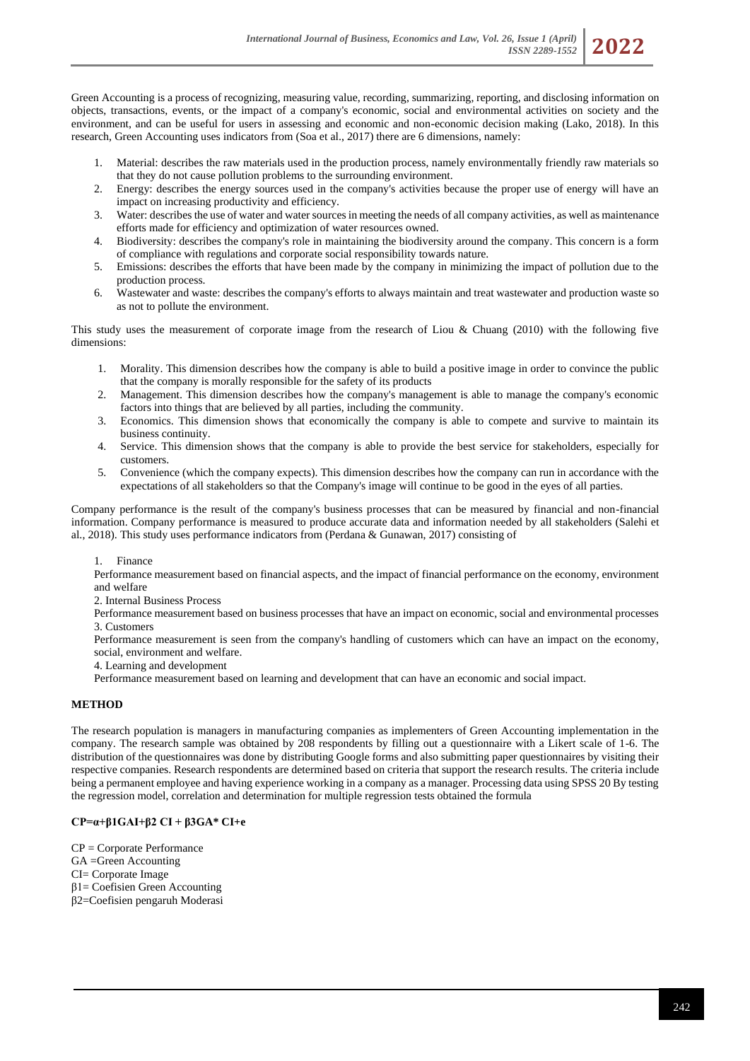Green Accounting is a process of recognizing, measuring value, recording, summarizing, reporting, and disclosing information on objects, transactions, events, or the impact of a company's economic, social and environmental activities on society and the environment, and can be useful for users in assessing and economic and non-economic decision making (Lako, 2018). In this research, Green Accounting uses indicators from (Soa et al., 2017) there are 6 dimensions, namely:

- 1. Material: describes the raw materials used in the production process, namely environmentally friendly raw materials so that they do not cause pollution problems to the surrounding environment.
- 2. Energy: describes the energy sources used in the company's activities because the proper use of energy will have an impact on increasing productivity and efficiency.
- 3. Water: describes the use of water and water sources in meeting the needs of all company activities, as well as maintenance efforts made for efficiency and optimization of water resources owned.
- 4. Biodiversity: describes the company's role in maintaining the biodiversity around the company. This concern is a form of compliance with regulations and corporate social responsibility towards nature.
- 5. Emissions: describes the efforts that have been made by the company in minimizing the impact of pollution due to the production process.
- 6. Wastewater and waste: describes the company's efforts to always maintain and treat wastewater and production waste so as not to pollute the environment.

This study uses the measurement of corporate image from the research of Liou & Chuang (2010) with the following five dimensions:

- 1. Morality. This dimension describes how the company is able to build a positive image in order to convince the public that the company is morally responsible for the safety of its products
- 2. Management. This dimension describes how the company's management is able to manage the company's economic factors into things that are believed by all parties, including the community.
- 3. Economics. This dimension shows that economically the company is able to compete and survive to maintain its business continuity.
- 4. Service. This dimension shows that the company is able to provide the best service for stakeholders, especially for customers.
- 5. Convenience (which the company expects). This dimension describes how the company can run in accordance with the expectations of all stakeholders so that the Company's image will continue to be good in the eyes of all parties.

Company performance is the result of the company's business processes that can be measured by financial and non-financial information. Company performance is measured to produce accurate data and information needed by all stakeholders (Salehi et al., 2018). This study uses performance indicators from (Perdana & Gunawan, 2017) consisting of

1. Finance

Performance measurement based on financial aspects, and the impact of financial performance on the economy, environment and welfare

2. Internal Business Process

Performance measurement based on business processes that have an impact on economic, social and environmental processes 3. Customers

Performance measurement is seen from the company's handling of customers which can have an impact on the economy, social, environment and welfare.

4. Learning and development

Performance measurement based on learning and development that can have an economic and social impact.

### **METHOD**

The research population is managers in manufacturing companies as implementers of Green Accounting implementation in the company. The research sample was obtained by 208 respondents by filling out a questionnaire with a Likert scale of 1-6. The distribution of the questionnaires was done by distributing Google forms and also submitting paper questionnaires by visiting their respective companies. Research respondents are determined based on criteria that support the research results. The criteria include being a permanent employee and having experience working in a company as a manager. Processing data using SPSS 20 By testing the regression model, correlation and determination for multiple regression tests obtained the formula

# **CP=α+β1GAI+β2 CI + β3GA\* CI+e**

CP = Corporate Performance GA =Green Accounting CI= Corporate Image β1= Coefisien Green Accounting β2=Coefisien pengaruh Moderasi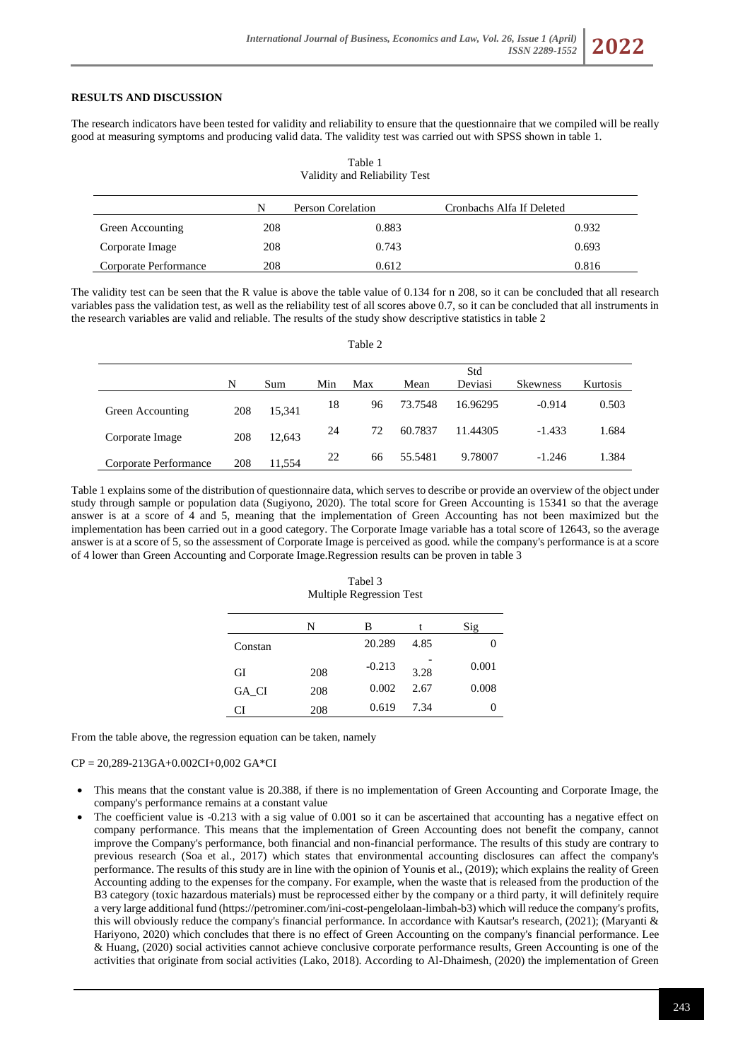# **RESULTS AND DISCUSSION**

The research indicators have been tested for validity and reliability to ensure that the questionnaire that we compiled will be really good at measuring symptoms and producing valid data. The validity test was carried out with SPSS shown in table 1.

Table 1

| Validity and Reliability Test |     |                   |                           |       |  |
|-------------------------------|-----|-------------------|---------------------------|-------|--|
|                               | N   | Person Corelation | Cronbachs Alfa If Deleted |       |  |
| Green Accounting              | 208 | 0.883             |                           | 0.932 |  |
| Corporate Image               | 208 | 0.743             |                           | 0.693 |  |
| Corporate Performance         | 208 | 0.612             |                           | 0.816 |  |

The validity test can be seen that the R value is above the table value of 0.134 for n 208, so it can be concluded that all research variables pass the validation test, as well as the reliability test of all scores above 0.7, so it can be concluded that all instruments in the research variables are valid and reliable. The results of the study show descriptive statistics in table 2

|                       |     |        |     | Table 2 |         |                |                 |          |
|-----------------------|-----|--------|-----|---------|---------|----------------|-----------------|----------|
|                       | N   | Sum    | Min | Max     | Mean    | Std<br>Deviasi | <b>Skewness</b> | Kurtosis |
| Green Accounting      | 208 | 15,341 | 18  | 96      | 73.7548 | 16.96295       | $-0.914$        | 0.503    |
| Corporate Image       | 208 | 12,643 | 24  | 72      | 60.7837 | 11.44305       | $-1.433$        | 1.684    |
| Corporate Performance | 208 | 11,554 | 22  | 66      | 55.5481 | 9.78007        | $-1.246$        | 1.384    |

Table 1 explains some of the distribution of questionnaire data, which serves to describe or provide an overview of the object under study through sample or population data (Sugiyono, 2020). The total score for Green Accounting is 15341 so that the average answer is at a score of 4 and 5, meaning that the implementation of Green Accounting has not been maximized but the implementation has been carried out in a good category. The Corporate Image variable has a total score of 12643, so the average answer is at a score of 5, so the assessment of Corporate Image is perceived as good. while the company's performance is at a score of 4 lower than Green Accounting and Corporate Image.Regression results can be proven in table 3

| Tabel 3                  |
|--------------------------|
| Multiple Regression Test |
|                          |

|         | N   | в        |      | Sig   |
|---------|-----|----------|------|-------|
| Constan |     | 20.289   | 4.85 |       |
| GI      | 208 | $-0.213$ | 3.28 | 0.001 |
| GA CI   | 208 | 0.002    | 2.67 | 0.008 |
| ( `I    | 208 | 0.619    | 7.34 |       |

From the table above, the regression equation can be taken, namely

## CP = 20,289-213GA+0.002CI+0,002 GA\*CI

- This means that the constant value is 20.388, if there is no implementation of Green Accounting and Corporate Image, the company's performance remains at a constant value
- The coefficient value is  $-0.213$  with a sig value of 0.001 so it can be ascertained that accounting has a negative effect on company performance. This means that the implementation of Green Accounting does not benefit the company, cannot improve the Company's performance, both financial and non-financial performance. The results of this study are contrary to previous research (Soa et al., 2017) which states that environmental accounting disclosures can affect the company's performance. The results of this study are in line with the opinion of Younis et al., (2019); which explains the reality of Green Accounting adding to the expenses for the company. For example, when the waste that is released from the production of the B3 category (toxic hazardous materials) must be reprocessed either by the company or a third party, it will definitely require a very large additional fund (https://petrominer.com/ini-cost-pengelolaan-limbah-b3) which will reduce the company's profits, this will obviously reduce the company's financial performance. In accordance with Kautsar's research, (2021); (Maryanti & Hariyono, 2020) which concludes that there is no effect of Green Accounting on the company's financial performance. Lee & Huang, (2020) social activities cannot achieve conclusive corporate performance results, Green Accounting is one of the activities that originate from social activities (Lako, 2018). According to Al-Dhaimesh, (2020) the implementation of Green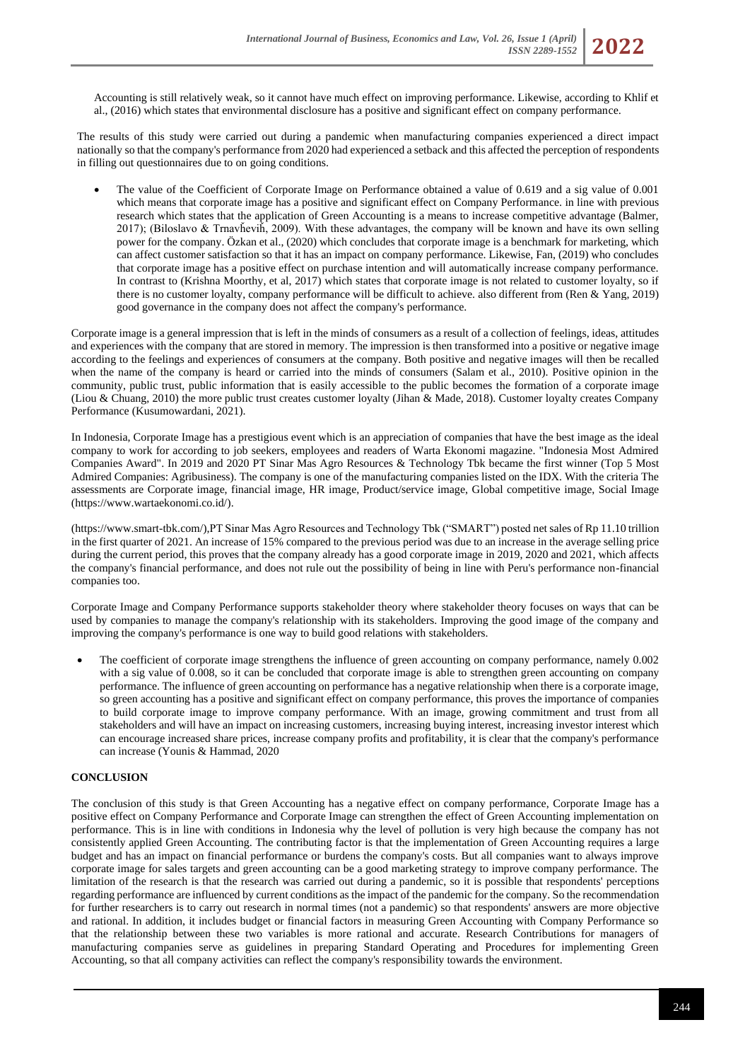Accounting is still relatively weak, so it cannot have much effect on improving performance. Likewise, according to Khlif et al., (2016) which states that environmental disclosure has a positive and significant effect on company performance.

The results of this study were carried out during a pandemic when manufacturing companies experienced a direct impact nationally so that the company's performance from 2020 had experienced a setback and this affected the perception of respondents in filling out questionnaires due to on going conditions.

• The value of the Coefficient of Corporate Image on Performance obtained a value of 0.619 and a sig value of 0.001 which means that corporate image has a positive and significant effect on Company Performance. in line with previous research which states that the application of Green Accounting is a means to increase competitive advantage (Balmer, 2017); (Biloslavo & Trnavȟeviȟ, 2009). With these advantages, the company will be known and have its own selling power for the company. Özkan et al., (2020) which concludes that corporate image is a benchmark for marketing, which can affect customer satisfaction so that it has an impact on company performance. Likewise, Fan, (2019) who concludes that corporate image has a positive effect on purchase intention and will automatically increase company performance. In contrast to (Krishna Moorthy, et al, 2017) which states that corporate image is not related to customer loyalty, so if there is no customer loyalty, company performance will be difficult to achieve. also different from (Ren & Yang, 2019) good governance in the company does not affect the company's performance.

Corporate image is a general impression that is left in the minds of consumers as a result of a collection of feelings, ideas, attitudes and experiences with the company that are stored in memory. The impression is then transformed into a positive or negative image according to the feelings and experiences of consumers at the company. Both positive and negative images will then be recalled when the name of the company is heard or carried into the minds of consumers (Salam et al., 2010). Positive opinion in the community, public trust, public information that is easily accessible to the public becomes the formation of a corporate image (Liou & Chuang, 2010) the more public trust creates customer loyalty (Jihan & Made, 2018). Customer loyalty creates Company Performance (Kusumowardani, 2021).

In Indonesia, Corporate Image has a prestigious event which is an appreciation of companies that have the best image as the ideal company to work for according to job seekers, employees and readers of Warta Ekonomi magazine. "Indonesia Most Admired Companies Award". In 2019 and 2020 PT Sinar Mas Agro Resources & Technology Tbk became the first winner (Top 5 Most Admired Companies: Agribusiness). The company is one of the manufacturing companies listed on the IDX. With the criteria The assessments are Corporate image, financial image, HR image, Product/service image, Global competitive image, Social Image [\(https://www.wartaekonomi.co.id/\)](https://www.wartaekonomi.co.id/).

[\(https://www.smart-tbk.com/\)](https://www.smart-tbk.com/),PT Sinar Mas Agro Resources and Technology Tbk ("SMART") posted net sales of Rp 11.10 trillion in the first quarter of 2021. An increase of 15% compared to the previous period was due to an increase in the average selling price during the current period, this proves that the company already has a good corporate image in 2019, 2020 and 2021, which affects the company's financial performance, and does not rule out the possibility of being in line with Peru's performance non-financial companies too.

Corporate Image and Company Performance supports stakeholder theory where stakeholder theory focuses on ways that can be used by companies to manage the company's relationship with its stakeholders. Improving the good image of the company and improving the company's performance is one way to build good relations with stakeholders.

The coefficient of corporate image strengthens the influence of green accounting on company performance, namely 0.002 with a sig value of 0.008, so it can be concluded that corporate image is able to strengthen green accounting on company performance. The influence of green accounting on performance has a negative relationship when there is a corporate image, so green accounting has a positive and significant effect on company performance, this proves the importance of companies to build corporate image to improve company performance. With an image, growing commitment and trust from all stakeholders and will have an impact on increasing customers, increasing buying interest, increasing investor interest which can encourage increased share prices, increase company profits and profitability, it is clear that the company's performance can increase (Younis & Hammad, 2020

### **CONCLUSION**

The conclusion of this study is that Green Accounting has a negative effect on company performance, Corporate Image has a positive effect on Company Performance and Corporate Image can strengthen the effect of Green Accounting implementation on performance. This is in line with conditions in Indonesia why the level of pollution is very high because the company has not consistently applied Green Accounting. The contributing factor is that the implementation of Green Accounting requires a large budget and has an impact on financial performance or burdens the company's costs. But all companies want to always improve corporate image for sales targets and green accounting can be a good marketing strategy to improve company performance. The limitation of the research is that the research was carried out during a pandemic, so it is possible that respondents' perceptions regarding performance are influenced by current conditions as the impact of the pandemic for the company. So the recommendation for further researchers is to carry out research in normal times (not a pandemic) so that respondents' answers are more objective and rational. In addition, it includes budget or financial factors in measuring Green Accounting with Company Performance so that the relationship between these two variables is more rational and accurate. Research Contributions for managers of manufacturing companies serve as guidelines in preparing Standard Operating and Procedures for implementing Green Accounting, so that all company activities can reflect the company's responsibility towards the environment.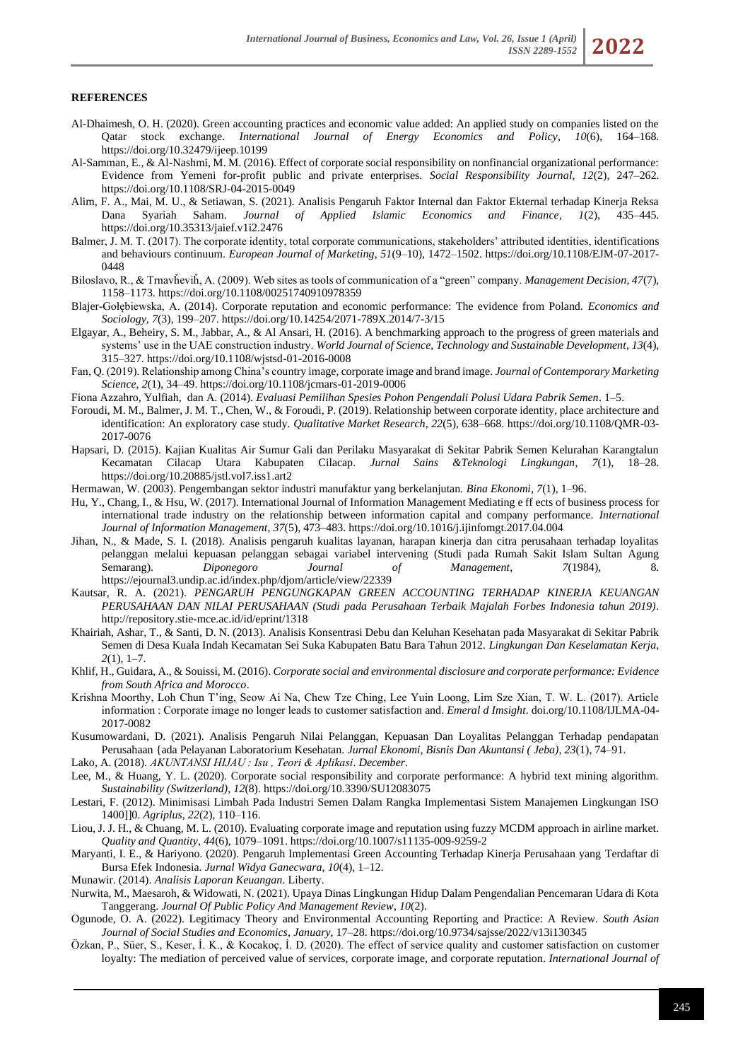#### **REFERENCES**

- Al-Dhaimesh, O. H. (2020). Green accounting practices and economic value added: An applied study on companies listed on the Qatar stock exchange. *International Journal of Energy Economics and Policy*, *10*(6), 164–168. https://doi.org/10.32479/ijeep.10199
- Al-Samman, E., & Al-Nashmi, M. M. (2016). Effect of corporate social responsibility on nonfinancial organizational performance: Evidence from Yemeni for-profit public and private enterprises. *Social Responsibility Journal*, *12*(2), 247–262. https://doi.org/10.1108/SRJ-04-2015-0049
- Alim, F. A., Mai, M. U., & Setiawan, S. (2021). Analisis Pengaruh Faktor Internal dan Faktor Ekternal terhadap Kinerja Reksa Dana Syariah Saham. *Journal of Applied Islamic Economics and Finance*, *1*(2), 435–445. https://doi.org/10.35313/jaief.v1i2.2476
- Balmer, J. M. T. (2017). The corporate identity, total corporate communications, stakeholders' attributed identities, identifications and behaviours continuum. *European Journal of Marketing*, *51*(9–10), 1472–1502. https://doi.org/10.1108/EJM-07-2017- 0448
- Biloslavo, R., & Trnavȟeviȟ, A. (2009). Web sites as tools of communication of a "green" company. *Management Decision*, *47*(7), 1158–1173. https://doi.org/10.1108/00251740910978359
- Blajer-Gołębiewska, A. (2014). Corporate reputation and economic performance: The evidence from Poland. *Economics and Sociology*, *7*(3), 199–207. https://doi.org/10.14254/2071-789X.2014/7-3/15
- Elgayar, A., Beheiry, S. M., Jabbar, A., & Al Ansari, H. (2016). A benchmarking approach to the progress of green materials and systems' use in the UAE construction industry. *World Journal of Science, Technology and Sustainable Development*, *13*(4), 315–327. https://doi.org/10.1108/wjstsd-01-2016-0008
- Fan, Q. (2019). Relationship among China's country image, corporate image and brand image. *Journal of Contemporary Marketing Science*, *2*(1), 34–49. https://doi.org/10.1108/jcmars-01-2019-0006
- Fiona Azzahro, Yulfiah, dan A. (2014). *Evaluasi Pemilihan Spesies Pohon Pengendali Polusi Udara Pabrik Semen*. 1–5.
- Foroudi, M. M., Balmer, J. M. T., Chen, W., & Foroudi, P. (2019). Relationship between corporate identity, place architecture and identification: An exploratory case study. *Qualitative Market Research*, *22*(5), 638–668. https://doi.org/10.1108/QMR-03- 2017-0076
- Hapsari, D. (2015). Kajian Kualitas Air Sumur Gali dan Perilaku Masyarakat di Sekitar Pabrik Semen Kelurahan Karangtalun Kecamatan Cilacap Utara Kabupaten Cilacap. *Jurnal Sains &Teknologi Lingkungan*, 7(1), https://doi.org/10.20885/jstl.vol7.iss1.art2
- Hermawan, W. (2003). Pengembangan sektor industri manufaktur yang berkelanjutan. *Bina Ekonomi*, *7*(1), 1–96.
- Hu, Y., Chang, I., & Hsu, W. (2017). International Journal of Information Management Mediating e ff ects of business process for international trade industry on the relationship between information capital and company performance. *International Journal of Information Management*, *37*(5), 473–483. https://doi.org/10.1016/j.ijinfomgt.2017.04.004
- Jihan, N., & Made, S. I. (2018). Analisis pengaruh kualitas layanan, harapan kinerja dan citra perusahaan terhadap loyalitas pelanggan melalui kepuasan pelanggan sebagai variabel intervening (Studi pada Rumah Sakit Islam Sultan Agung Semarang). *Diponegoro Journal of Management*, *7*(1984), 8. https://ejournal3.undip.ac.id/index.php/djom/article/view/22339
- Kautsar, R. A. (2021). *PENGARUH PENGUNGKAPAN GREEN ACCOUNTING TERHADAP KINERJA KEUANGAN PERUSAHAAN DAN NILAI PERUSAHAAN (Studi pada Perusahaan Terbaik Majalah Forbes Indonesia tahun 2019)*. http://repository.stie-mce.ac.id/id/eprint/1318
- Khairiah, Ashar, T., & Santi, D. N. (2013). Analisis Konsentrasi Debu dan Keluhan Kesehatan pada Masyarakat di Sekitar Pabrik Semen di Desa Kuala Indah Kecamatan Sei Suka Kabupaten Batu Bara Tahun 2012. *Lingkungan Dan Keselamatan Kerja*, *2*(1), 1–7.
- Khlif, H., Guidara, A., & Souissi, M. (2016). *Corporate social and environmental disclosure and corporate performance: Evidence from South Africa and Morocco*.
- Krishna Moorthy, Loh Chun T'ing, Seow Ai Na, Chew Tze Ching, Lee Yuin Loong, Lim Sze Xian, T. W. L. (2017). Article information : Corporate image no longer leads to customer satisfaction and. *Emeral d Imsight*. doi.org/10.1108/IJLMA-04- 2017-0082
- Kusumowardani, D. (2021). Analisis Pengaruh Nilai Pelanggan, Kepuasan Dan Loyalitas Pelanggan Terhadap pendapatan Perusahaan {ada Pelayanan Laboratorium Kesehatan. *Jurnal Ekonomi, Bisnis Dan Akuntansi ( Jeba)*, *23*(1), 74–91.
- Lako, A. (2018). *AKUNTANSI HIJAU : Isu , Teori & Aplikasi*. *December*.
- Lee, M., & Huang, Y. L. (2020). Corporate social responsibility and corporate performance: A hybrid text mining algorithm. *Sustainability (Switzerland)*, *12*(8). https://doi.org/10.3390/SU12083075
- Lestari, F. (2012). Minimisasi Limbah Pada Industri Semen Dalam Rangka Implementasi Sistem Manajemen Lingkungan ISO 1400]]0. *Agriplus*, *22*(2), 110–116.
- Liou, J. J. H., & Chuang, M. L. (2010). Evaluating corporate image and reputation using fuzzy MCDM approach in airline market. *Quality and Quantity*, *44*(6), 1079–1091. https://doi.org/10.1007/s11135-009-9259-2
- Maryanti, I. E., & Hariyono. (2020). Pengaruh Implementasi Green Accounting Terhadap Kinerja Perusahaan yang Terdaftar di Bursa Efek Indonesia. *Jurnal Widya Ganecwara*, *10*(4), 1–12.

Munawir. (2014). *Analisis Laporan Keuangan*. Liberty.

- Nurwita, M., Maesaroh, & Widowati, N. (2021). Upaya Dinas Lingkungan Hidup Dalam Pengendalian Pencemaran Udara di Kota Tanggerang. *Journal Of Public Policy And Management Review*, *10*(2).
- Ogunode, O. A. (2022). Legitimacy Theory and Environmental Accounting Reporting and Practice: A Review. *South Asian Journal of Social Studies and Economics*, *January*, 17–28. https://doi.org/10.9734/sajsse/2022/v13i130345
- Özkan, P., Süer, S., Keser, İ. K., & Kocakoç, İ. D. (2020). The effect of service quality and customer satisfaction on customer loyalty: The mediation of perceived value of services, corporate image, and corporate reputation. *International Journal of*